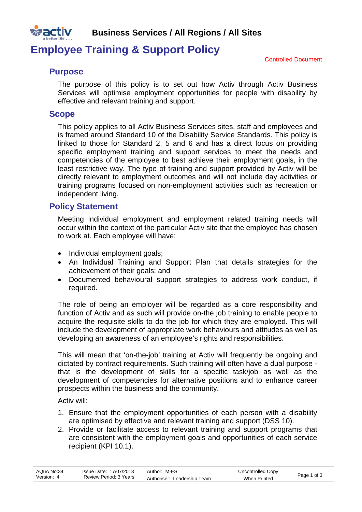

## **Employee Training & Support Policy**

### **Purpose**

The purpose of this policy is to set out how Activ through Activ Business Services will optimise employment opportunities for people with disability by effective and relevant training and support.

#### **Scope**

This policy applies to all Activ Business Services sites, staff and employees and is framed around Standard 10 of the Disability Service Standards. This policy is linked to those for Standard 2, 5 and 6 and has a direct focus on providing specific employment training and support services to meet the needs and competencies of the employee to best achieve their employment goals, in the least restrictive way. The type of training and support provided by Activ will be directly relevant to employment outcomes and will not include day activities or training programs focused on non-employment activities such as recreation or independent living.

### **Policy Statement**

Meeting individual employment and employment related training needs will occur within the context of the particular Activ site that the employee has chosen to work at. Each employee will have:

- Individual employment goals;
- An Individual Training and Support Plan that details strategies for the achievement of their goals; and
- Documented behavioural support strategies to address work conduct, if required.

The role of being an employer will be regarded as a core responsibility and function of Activ and as such will provide on-the job training to enable people to acquire the requisite skills to do the job for which they are employed. This will include the development of appropriate work behaviours and attitudes as well as developing an awareness of an employee's rights and responsibilities.

This will mean that 'on-the-job' training at Activ will frequently be ongoing and dictated by contract requirements. Such training will often have a dual purpose that is the development of skills for a specific task/job as well as the development of competencies for alternative positions and to enhance career prospects within the business and the community.

Activ will:

- 1. Ensure that the employment opportunities of each person with a disability are optimised by effective and relevant training and support (DSS 10).
- 2. Provide or facilitate access to relevant training and support programs that are consistent with the employment goals and opportunities of each service recipient (KPI 10.1).

| AQuA No:34 | Issue Date: 17/07/2013 | Author: M-ES                | Uncontrolled Copy   | Page 1 of 3 |
|------------|------------------------|-----------------------------|---------------------|-------------|
| Version:   | Review Period: 3 Years | Authoriser: Leadership Team | <b>When Printed</b> |             |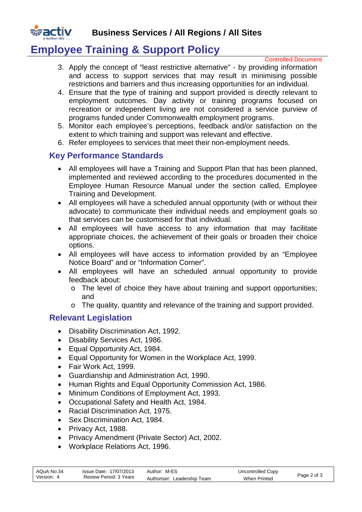

# **Employee Training & Support Policy**

Controlled Document

- 3. Apply the concept of "least restrictive alternative" by providing information and access to support services that may result in minimising possible restrictions and barriers and thus increasing opportunities for an individual.
- 4. Ensure that the type of training and support provided is directly relevant to employment outcomes. Day activity or training programs focused on recreation or independent living are not considered a service purview of programs funded under Commonwealth employment programs.
- 5. Monitor each employee's perceptions, feedback and/or satisfaction on the extent to which training and support was relevant and effective.
- 6. Refer employees to services that meet their non-employment needs.

## **Key Performance Standards**

- All employees will have a [Training and Support Plan](http://activnet/Intralogic/content/279.pdf) that has been planned, implemented and reviewed according to the procedures documented in the [Employee Human Resource Manual](http://activnet/Intralogic/content/64.pdf) under the section called, [Employee](http://activnet/Intralogic/content/260.pdf)  [Training and Development.](http://activnet/Intralogic/content/260.pdf)
- All employees will have a scheduled annual opportunity (with or without their advocate) to communicate their individual needs and employment goals so that services can be customised for that individual.
- All employees will have access to any information that may facilitate appropriate choices, the achievement of their goals or broaden their choice options.
- All employees will have access to information provided by an "Employee Notice Board" and or "Information Corner".
- All employees will have an scheduled annual opportunity to provide feedback about:
	- o The level of choice they have about training and support opportunities; and
	- o The quality, quantity and relevance of the training and support provided.

## **Relevant Legislation**

- Disability Discrimination Act, 1992.
- Disability Services Act, 1986.
- Equal Opportunity Act, 1984.
- Equal Opportunity for Women in the Workplace Act, 1999.
- Fair Work Act, 1999.
- Guardianship and Administration Act, 1990.
- Human Rights and Equal Opportunity Commission Act, 1986.
- Minimum Conditions of Employment Act, 1993.
- Occupational Safety and Health Act, 1984.
- Racial Discrimination Act, 1975.
- Sex Discrimination Act, 1984.
- Privacy Act, 1988.
- Privacy Amendment (Private Sector) Act, 2002.
- Workplace Relations Act, 1996.

| AQuA No:34 | Issue Date: 17/07/2013 | Author: M-ES                | Uncontrolled Copy   | Page 2 of 3 |
|------------|------------------------|-----------------------------|---------------------|-------------|
| Version: 4 | Review Period: 3 Years | Authoriser: Leadership Team | <b>When Printed</b> |             |